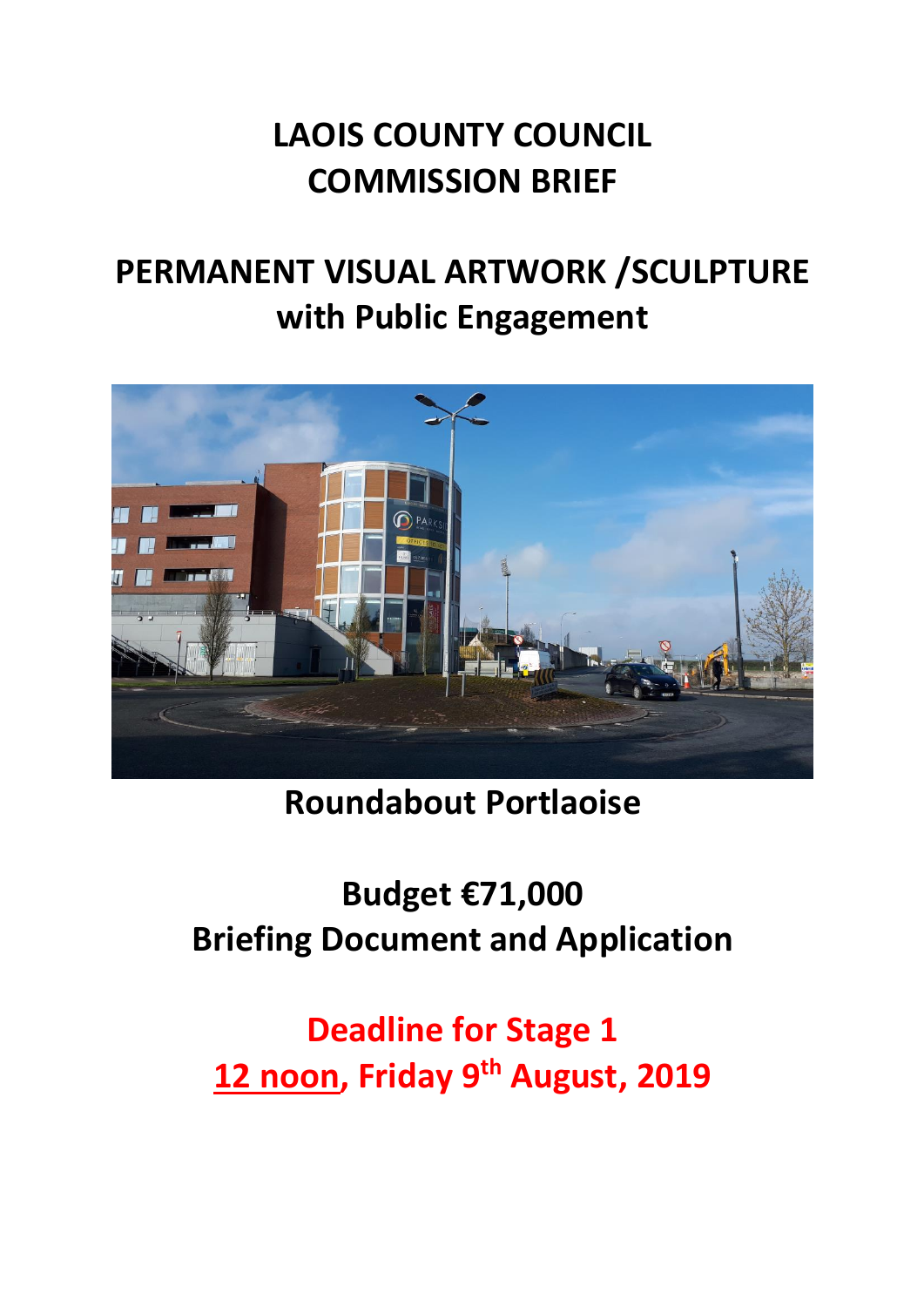# **LAOIS COUNTY COUNCIL COMMISSION BRIEF**

# **PERMANENT VISUAL ARTWORK /SCULPTURE with Public Engagement**



# **Roundabout Portlaoise**

# **Budget €71,000 Briefing Document and Application**

# **Deadline for Stage 1 12 noon, Friday 9 th August, 2019**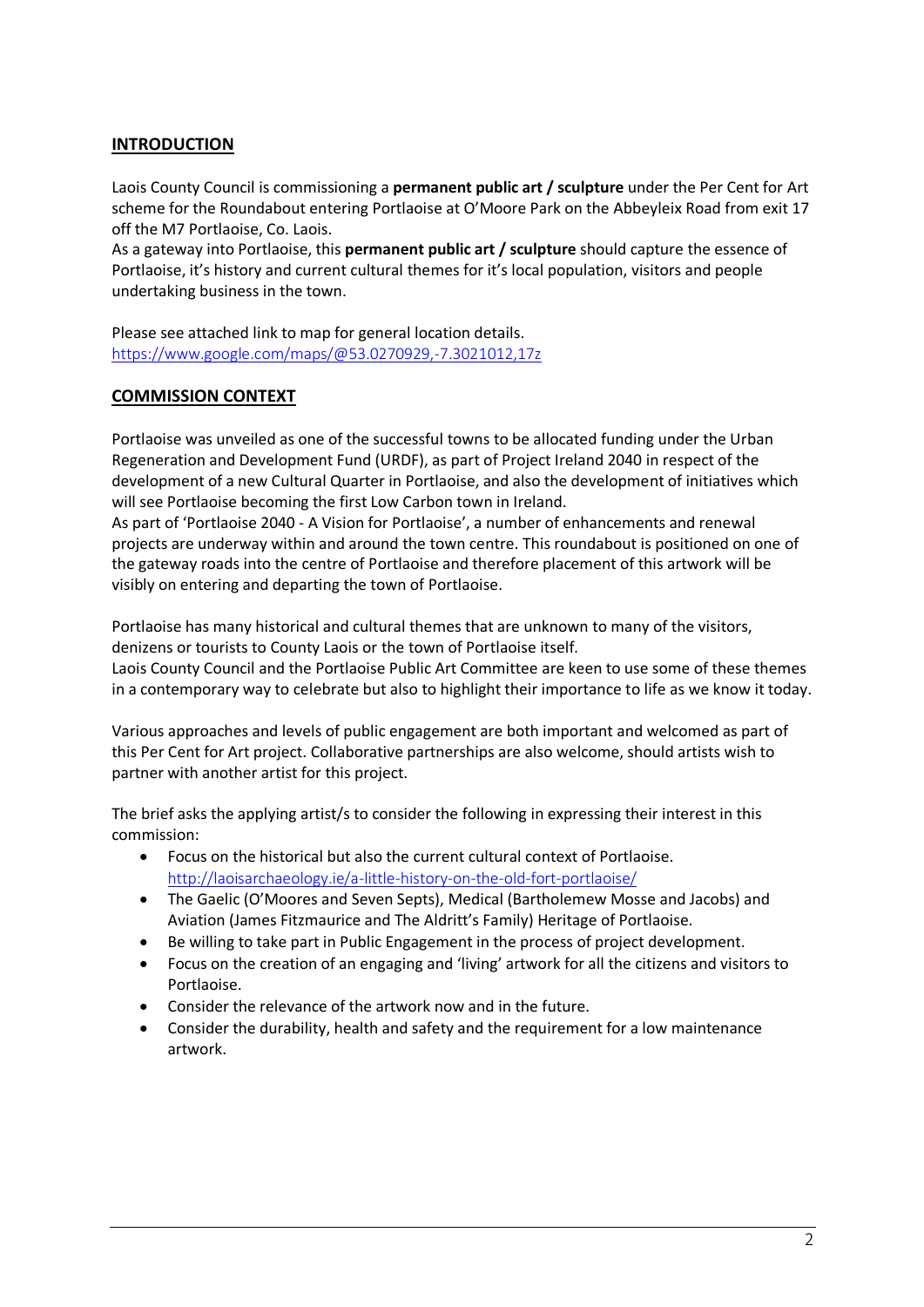### **INTRODUCTION**

Laois County Council is commissioning a **permanent public art / sculpture** under the Per Cent for Art scheme for the Roundabout entering Portlaoise at O'Moore Park on the Abbeyleix Road from exit 17 off the M7 Portlaoise, Co. Laois.

As a gateway into Portlaoise, this **permanent public art / sculpture** should capture the essence of Portlaoise, it's history and current cultural themes for it's local population, visitors and people undertaking business in the town.

Please see attached link to map for general location details. <https://www.google.com/maps/@53.0270929,-7.3021012,17z>

### **COMMISSION CONTEXT**

Portlaoise was unveiled as one of the successful towns to be allocated funding under the Urban Regeneration and Development Fund (URDF), as part of Project Ireland 2040 in respect of the development of a new Cultural Quarter in Portlaoise, and also the development of initiatives which will see Portlaoise becoming the first Low Carbon town in Ireland.

As part of 'Portlaoise 2040 - A Vision for Portlaoise', a number of enhancements and renewal projects are underway within and around the town centre. This roundabout is positioned on one of the gateway roads into the centre of Portlaoise and therefore placement of this artwork will be visibly on entering and departing the town of Portlaoise.

Portlaoise has many historical and cultural themes that are unknown to many of the visitors, denizens or tourists to County Laois or the town of Portlaoise itself.

Laois County Council and the Portlaoise Public Art Committee are keen to use some of these themes in a contemporary way to celebrate but also to highlight their importance to life as we know it today.

Various approaches and levels of public engagement are both important and welcomed as part of this Per Cent for Art project. Collaborative partnerships are also welcome, should artists wish to partner with another artist for this project.

The brief asks the applying artist/s to consider the following in expressing their interest in this commission:

- Focus on the historical but also the current cultural context of Portlaoise. <http://laoisarchaeology.ie/a-little-history-on-the-old-fort-portlaoise/>
- The Gaelic (O'Moores and Seven Septs), Medical (Bartholemew Mosse and Jacobs) and Aviation (James Fitzmaurice and The Aldritt's Family) Heritage of Portlaoise.
- Be willing to take part in Public Engagement in the process of project development.
- Focus on the creation of an engaging and 'living' artwork for all the citizens and visitors to Portlaoise.
- Consider the relevance of the artwork now and in the future.
- Consider the durability, health and safety and the requirement for a low maintenance artwork.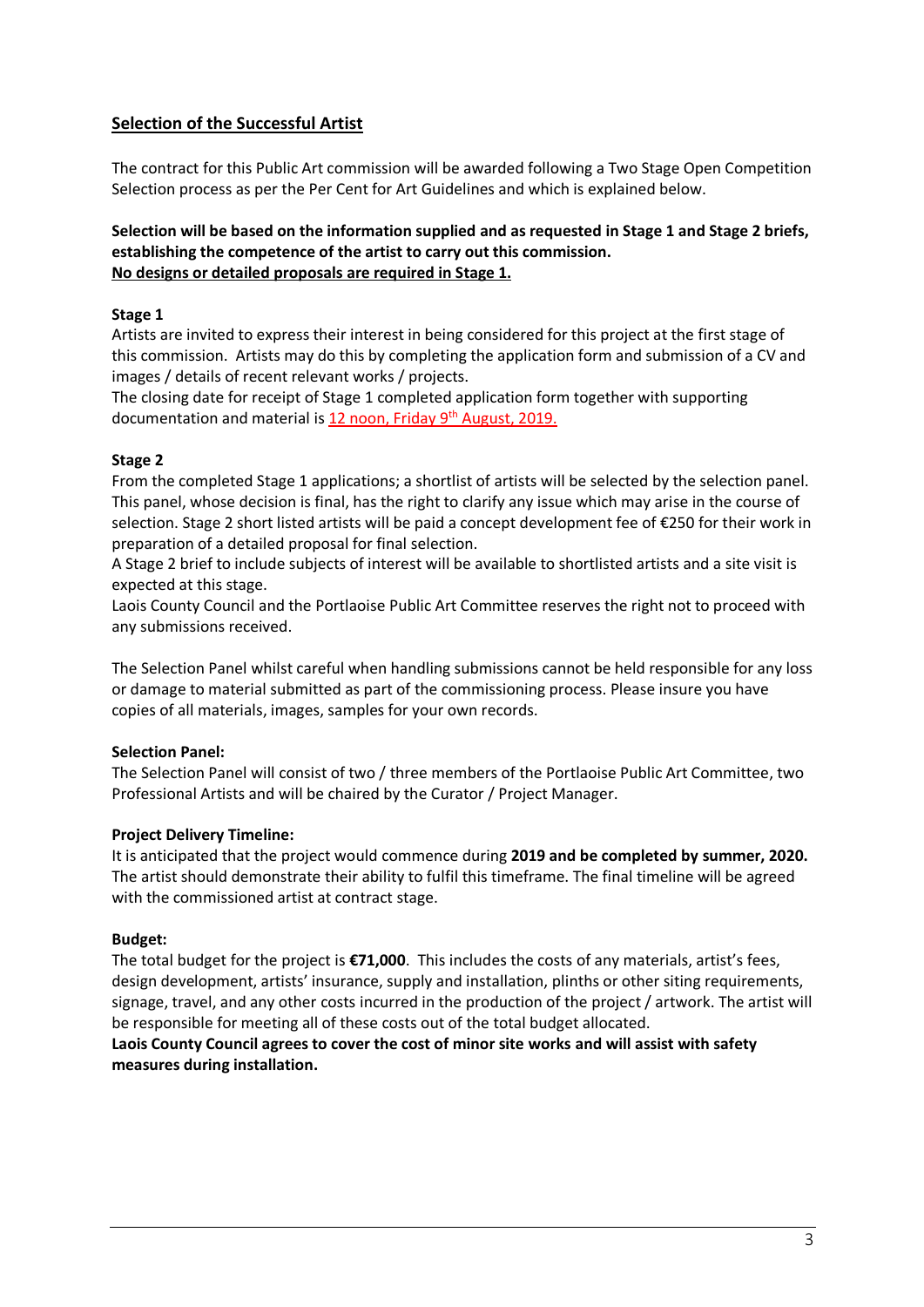### **Selection of the Successful Artist**

The contract for this Public Art commission will be awarded following a Two Stage Open Competition Selection process as per the Per Cent for Art Guidelines and which is explained below.

#### **Selection will be based on the information supplied and as requested in Stage 1 and Stage 2 briefs, establishing the competence of the artist to carry out this commission. No designs or detailed proposals are required in Stage 1.**

#### **Stage 1**

Artists are invited to express their interest in being considered for this project at the first stage of this commission. Artists may do this by completing the application form and submission of a CV and images / details of recent relevant works / projects.

The closing date for receipt of Stage 1 completed application form together with supporting documentation and material is 12 noon, Friday 9<sup>th</sup> August, 2019.

#### **Stage 2**

From the completed Stage 1 applications; a shortlist of artists will be selected by the selection panel. This panel, whose decision is final, has the right to clarify any issue which may arise in the course of selection. Stage 2 short listed artists will be paid a concept development fee of €250 for their work in preparation of a detailed proposal for final selection.

A Stage 2 brief to include subjects of interest will be available to shortlisted artists and a site visit is expected at this stage.

Laois County Council and the Portlaoise Public Art Committee reserves the right not to proceed with any submissions received.

The Selection Panel whilst careful when handling submissions cannot be held responsible for any loss or damage to material submitted as part of the commissioning process. Please insure you have copies of all materials, images, samples for your own records.

#### **Selection Panel:**

The Selection Panel will consist of two / three members of the Portlaoise Public Art Committee, two Professional Artists and will be chaired by the Curator / Project Manager.

#### **Project Delivery Timeline:**

It is anticipated that the project would commence during **2019 and be completed by summer, 2020.** The artist should demonstrate their ability to fulfil this timeframe. The final timeline will be agreed with the commissioned artist at contract stage.

#### **Budget:**

The total budget for the project is **€71,000**. This includes the costs of any materials, artist's fees, design development, artists' insurance, supply and installation, plinths or other siting requirements, signage, travel, and any other costs incurred in the production of the project / artwork. The artist will be responsible for meeting all of these costs out of the total budget allocated.

#### **Laois County Council agrees to cover the cost of minor site works and will assist with safety measures during installation.**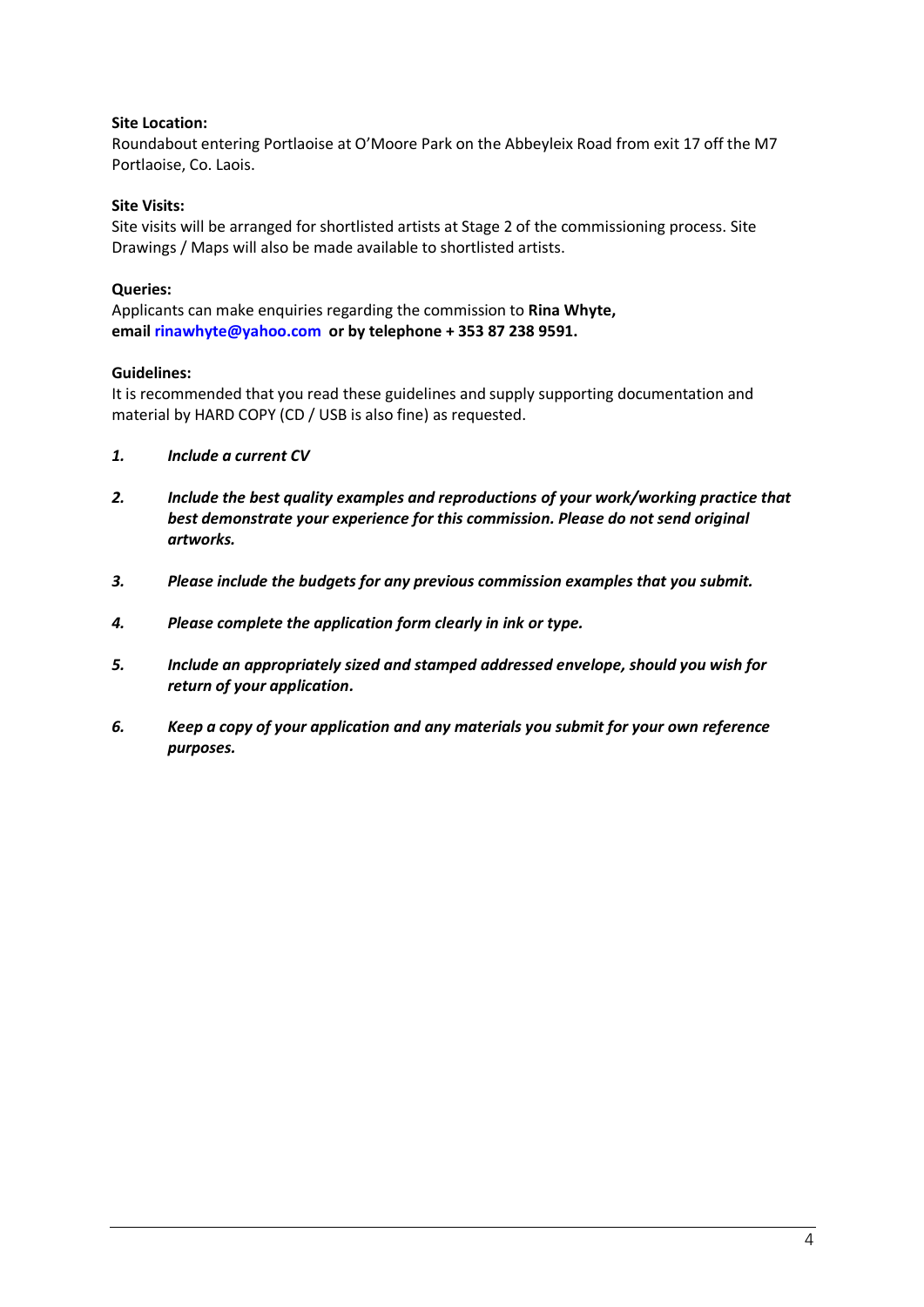#### **Site Location:**

Roundabout entering Portlaoise at O'Moore Park on the Abbeyleix Road from exit 17 off the M7 Portlaoise, Co. Laois.

#### **Site Visits:**

Site visits will be arranged for shortlisted artists at Stage 2 of the commissioning process. Site Drawings / Maps will also be made available to shortlisted artists.

#### **Queries:**

Applicants can make enquiries regarding the commission to **Rina Whyte, email [rinawhyte@yahoo.com](mailto:rinawhyte@yahoo.com) or by telephone + 353 87 238 9591.**

#### **Guidelines:**

It is recommended that you read these guidelines and supply supporting documentation and material by HARD COPY (CD / USB is also fine) as requested.

- *1. Include a current CV*
- *2. Include the best quality examples and reproductions of your work/working practice that best demonstrate your experience for this commission. Please do not send original artworks.*
- *3. Please include the budgets for any previous commission examples that you submit.*
- *4. Please complete the application form clearly in ink or type.*
- *5. Include an appropriately sized and stamped addressed envelope, should you wish for return of your application.*
- *6. Keep a copy of your application and any materials you submit for your own reference purposes.*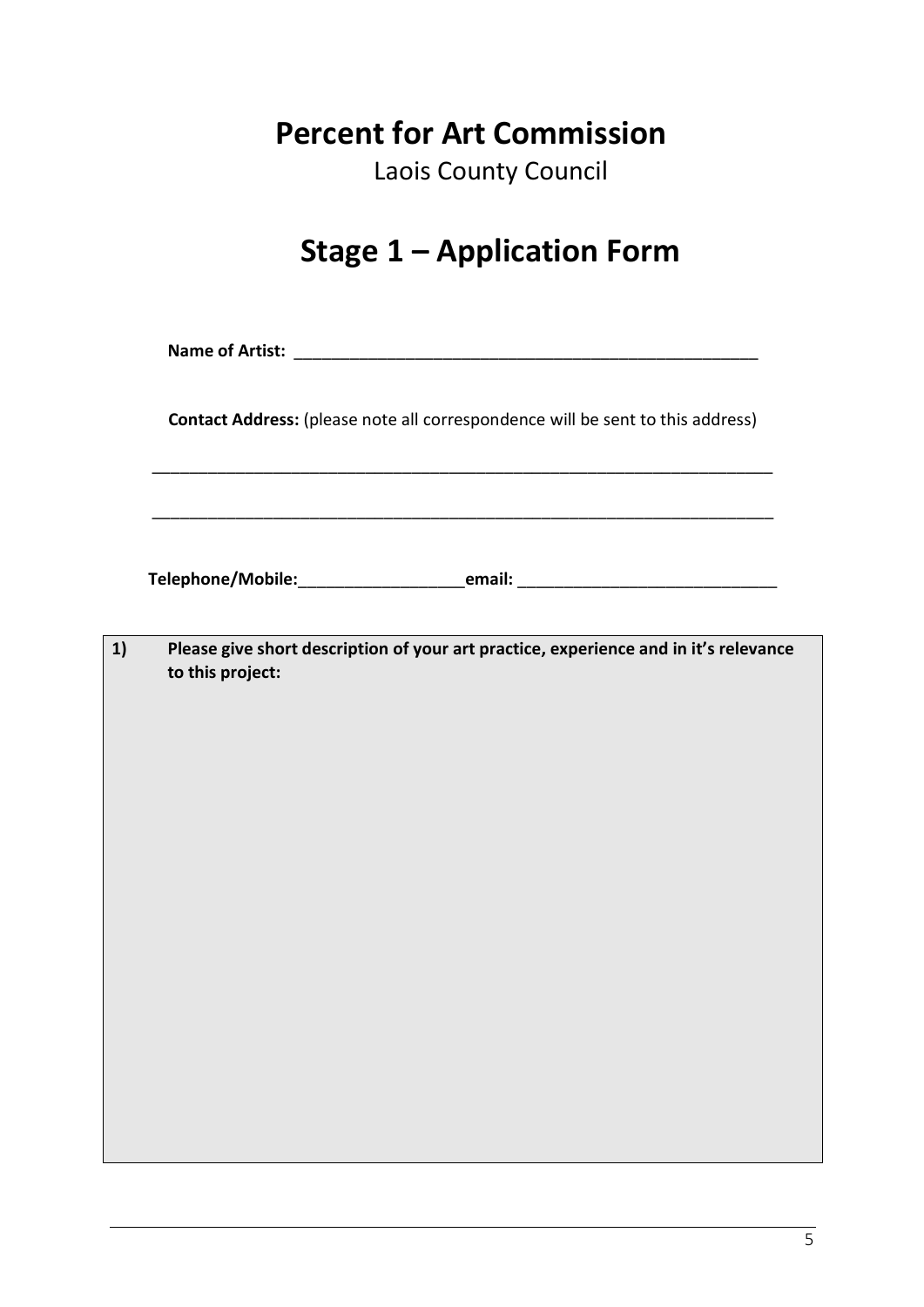## **Percent for Art Commission**

Laois County Council

# **Stage 1 – Application Form**

**Name of Artist:** \_\_\_\_\_\_\_\_\_\_\_\_\_\_\_\_\_\_\_\_\_\_\_\_\_\_\_\_\_\_\_\_\_\_\_\_\_\_\_\_\_\_\_\_\_\_\_\_\_\_

**Contact Address:** (please note all correspondence will be sent to this address)

\_\_\_\_\_\_\_\_\_\_\_\_\_\_\_\_\_\_\_\_\_\_\_\_\_\_\_\_\_\_\_\_\_\_\_\_\_\_\_\_\_\_\_\_\_\_\_\_\_\_\_\_\_\_\_\_\_\_\_\_\_\_\_\_\_\_\_

\_\_\_\_\_\_\_\_\_\_\_\_\_\_\_\_\_\_\_\_\_\_\_\_\_\_\_\_\_\_\_\_\_\_\_\_\_\_\_\_\_\_\_\_\_\_\_\_\_\_\_\_\_\_\_\_\_\_\_\_\_\_\_\_\_\_\_

**Telephone/Mobile:**\_\_\_\_\_\_\_\_\_\_\_\_\_\_\_\_\_\_**email:** \_\_\_\_\_\_\_\_\_\_\_\_\_\_\_\_\_\_\_\_\_\_\_\_\_\_\_\_

| 1) | Please give short description of your art practice, experience and in it's relevance<br>to this project: |
|----|----------------------------------------------------------------------------------------------------------|
|    |                                                                                                          |
|    |                                                                                                          |
|    |                                                                                                          |
|    |                                                                                                          |
|    |                                                                                                          |
|    |                                                                                                          |
|    |                                                                                                          |
|    |                                                                                                          |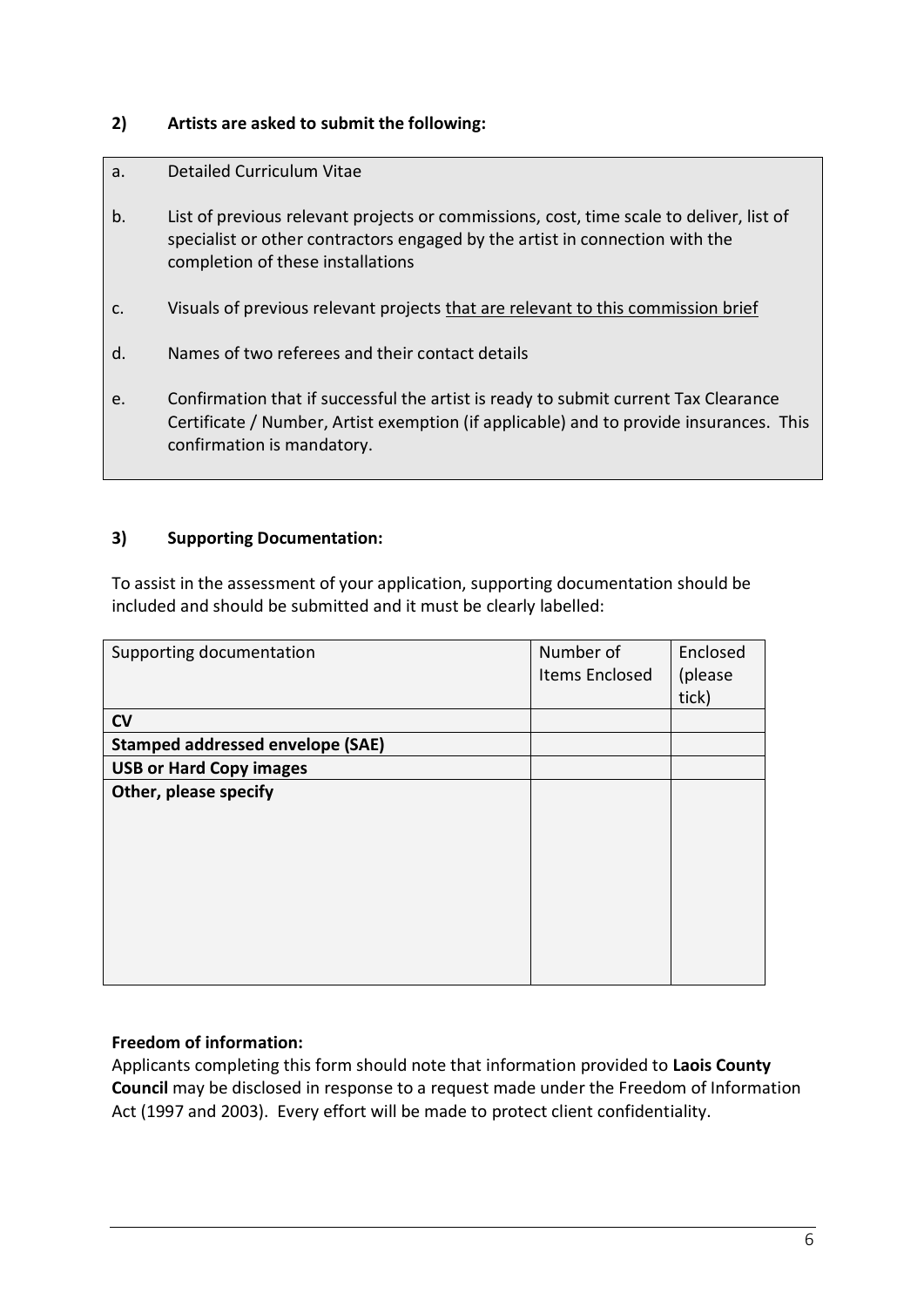## **2) Artists are asked to submit the following:**

| a. | Detailed Curriculum Vitae                                                                                                                                                                                    |
|----|--------------------------------------------------------------------------------------------------------------------------------------------------------------------------------------------------------------|
| b. | List of previous relevant projects or commissions, cost, time scale to deliver, list of<br>specialist or other contractors engaged by the artist in connection with the<br>completion of these installations |
| C. | Visuals of previous relevant projects that are relevant to this commission brief                                                                                                                             |
| d. | Names of two referees and their contact details                                                                                                                                                              |
| e. | Confirmation that if successful the artist is ready to submit current Tax Clearance<br>Certificate / Number, Artist exemption (if applicable) and to provide insurances. This<br>confirmation is mandatory.  |

## **3) Supporting Documentation:**

To assist in the assessment of your application, supporting documentation should be included and should be submitted and it must be clearly labelled:

| Supporting documentation                | Number of<br>Items Enclosed | Enclosed<br>(please<br>tick) |
|-----------------------------------------|-----------------------------|------------------------------|
| <b>CV</b>                               |                             |                              |
| <b>Stamped addressed envelope (SAE)</b> |                             |                              |
| <b>USB or Hard Copy images</b>          |                             |                              |
| Other, please specify                   |                             |                              |

### **Freedom of information:**

Applicants completing this form should note that information provided to **Laois County Council** may be disclosed in response to a request made under the Freedom of Information Act (1997 and 2003). Every effort will be made to protect client confidentiality.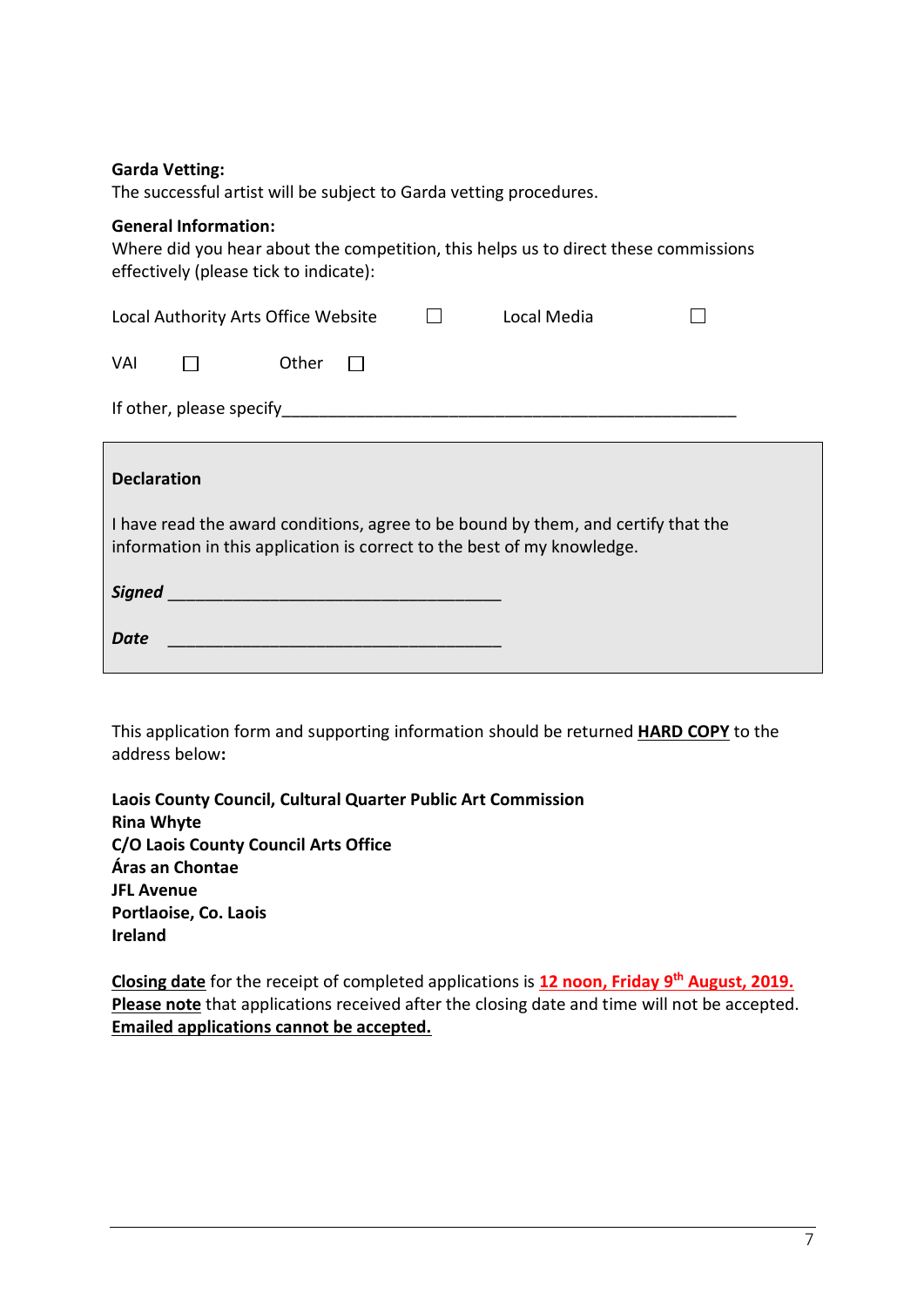#### **Garda Vetting:**

The successful artist will be subject to Garda vetting procedures.

#### **General Information:**

Where did you hear about the competition, this helps us to direct these commissions effectively (please tick to indicate):

| Local Authority Arts Office Website |                          |       |              |  | Local Media |  |
|-------------------------------------|--------------------------|-------|--------------|--|-------------|--|
| VAI                                 |                          | Other | $\mathbf{L}$ |  |             |  |
|                                     | If other, please specify |       |              |  |             |  |

| <b>Declaration</b>                                                                                                                                           |  |  |
|--------------------------------------------------------------------------------------------------------------------------------------------------------------|--|--|
| I have read the award conditions, agree to be bound by them, and certify that the<br>information in this application is correct to the best of my knowledge. |  |  |
| <b>Signed</b>                                                                                                                                                |  |  |
| Date                                                                                                                                                         |  |  |

This application form and supporting information should be returned **HARD COPY** to the address below**:** 

**Laois County Council, Cultural Quarter Public Art Commission Rina Whyte C/O Laois County Council Arts Office Áras an Chontae JFL Avenue Portlaoise, Co. Laois Ireland**

**Closing date** for the receipt of completed applications is **12 noon, Friday 9 th August, 2019. Please note** that applications received after the closing date and time will not be accepted. **Emailed applications cannot be accepted.**